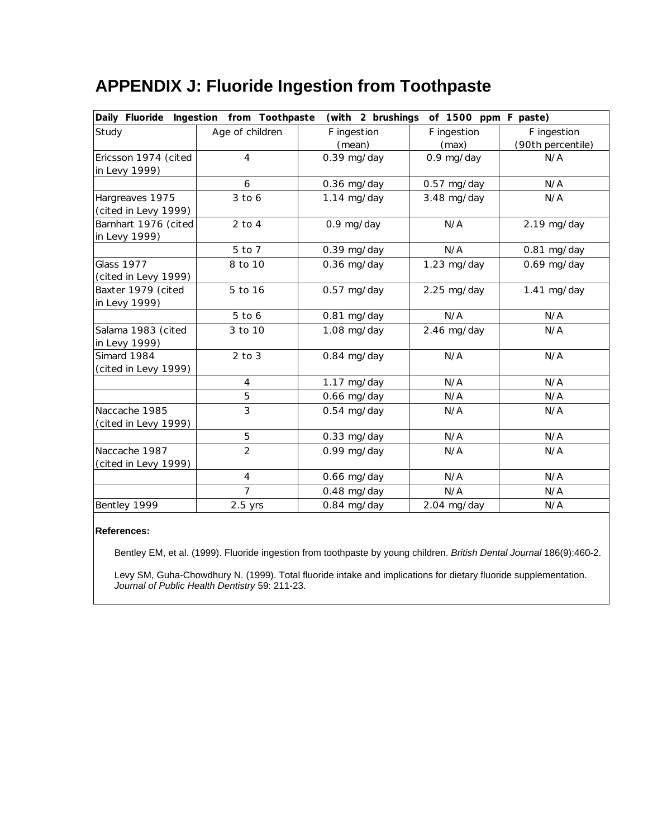## **APPENDIX J: Fluoride Ingestion from Toothpaste**

| Daily Fluoride<br>(with 2 brushings of 1500 ppm F paste)<br>Ingestion from Toothpaste |                          |               |               |                   |  |
|---------------------------------------------------------------------------------------|--------------------------|---------------|---------------|-------------------|--|
| Study                                                                                 | Age of children          | F ingestion   | F ingestion   | F ingestion       |  |
|                                                                                       |                          | (mean)        | (max)         | (90th percentile) |  |
| Ericsson 1974 (cited                                                                  | $\overline{4}$           | $0.39$ mg/day | 0.9 mg/day    | N/A               |  |
| in Levy 1999)                                                                         |                          |               |               |                   |  |
|                                                                                       | 6                        | $0.36$ mg/day | $0.57$ mg/day | N/A               |  |
| Hargreaves 1975                                                                       | $3$ to 6                 | $1.14$ mg/day | 3.48 mg/day   | N/A               |  |
| (cited in Levy 1999)                                                                  |                          |               |               |                   |  |
| Barnhart 1976 (cited                                                                  | $2$ to $4$               | 0.9 mg/day    | N/A           | $2.19$ mg/day     |  |
| in Levy 1999)                                                                         |                          |               |               |                   |  |
|                                                                                       | 5 to 7                   | $0.39$ mg/day | N/A           | 0.81 mg/day       |  |
| <b>Glass 1977</b>                                                                     | 8 to 10                  | $0.36$ mg/day | $1.23$ mg/day | $0.69$ mg/day     |  |
| (cited in Levy 1999)                                                                  |                          |               |               |                   |  |
| Baxter 1979 (cited                                                                    | 5 to 16                  | $0.57$ mg/day | $2.25$ mg/day | $1.41$ mg/day     |  |
| in Levy 1999)                                                                         |                          |               |               |                   |  |
|                                                                                       | $5$ to $6$               | 0.81 mg/day   | N/A           | N/A               |  |
| Salama 1983 (cited                                                                    | 3 to 10                  | 1.08 mg/day   | 2.46 mg/day   | N/A               |  |
| in Levy 1999)                                                                         |                          |               |               |                   |  |
| Simard 1984                                                                           | $2$ to $3$               | 0.84 mg/day   | N/A           | N/A               |  |
| (cited in Levy 1999)                                                                  |                          |               |               |                   |  |
|                                                                                       | $\overline{4}$           | $1.17$ mg/day | N/A           | N/A               |  |
|                                                                                       | 5                        | $0.66$ mg/day | N/A           | N/A               |  |
| Naccache 1985                                                                         | 3                        | $0.54$ mg/day | N/A           | N/A               |  |
| (cited in Levy 1999)                                                                  |                          |               |               |                   |  |
|                                                                                       | 5                        | $0.33$ mg/day | N/A           | N/A               |  |
| Naccache 1987                                                                         | $\overline{2}$           | 0.99 mg/day   | N/A           | N/A               |  |
| (cited in Levy 1999)                                                                  |                          |               |               |                   |  |
|                                                                                       | $\overline{\mathcal{A}}$ | 0.66 mg/day   | N/A           | N/A               |  |
|                                                                                       | $\overline{7}$           | $0.48$ mg/day | N/A           | N/A               |  |
| Bentley 1999                                                                          | $2.5$ yrs                | 0.84 mg/day   | 2.04 mg/day   | N/A               |  |

## **References:**

Bentley EM, et al. (1999). Fluoride ingestion from toothpaste by young children. *British Dental Journal* 186(9):460-2.

Levy SM, Guha-Chowdhury N. (1999). Total fluoride intake and implications for dietary fluoride supplementation. *Journal of Public Health Dentistry* 59: 211-23.